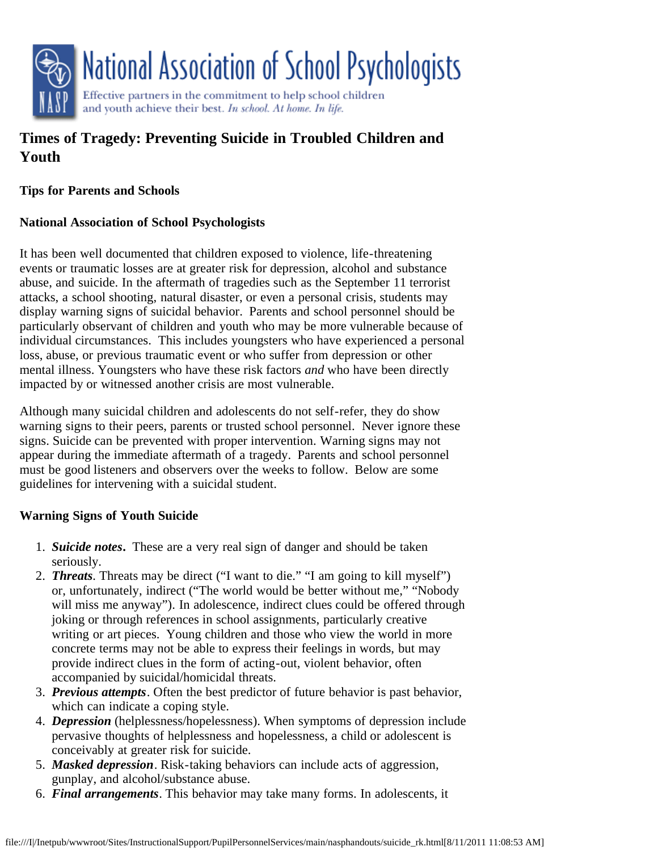

# **Times of Tragedy: Preventing Suicide in Troubled Children and Youth**

#### **Tips for Parents and Schools**

### **National Association of School Psychologists**

It has been well documented that children exposed to violence, life-threatening events or traumatic losses are at greater risk for depression, alcohol and substance abuse, and suicide. In the aftermath of tragedies such as the September 11 terrorist attacks, a school shooting, natural disaster, or even a personal crisis, students may display warning signs of suicidal behavior. Parents and school personnel should be particularly observant of children and youth who may be more vulnerable because of individual circumstances. This includes youngsters who have experienced a personal loss, abuse, or previous traumatic event or who suffer from depression or other mental illness. Youngsters who have these risk factors *and* who have been directly impacted by or witnessed another crisis are most vulnerable.

Although many suicidal children and adolescents do not self-refer, they do show warning signs to their peers, parents or trusted school personnel. Never ignore these signs. Suicide can be prevented with proper intervention. Warning signs may not appear during the immediate aftermath of a tragedy. Parents and school personnel must be good listeners and observers over the weeks to follow. Below are some guidelines for intervening with a suicidal student.

### **Warning Signs of Youth Suicide**

- 1. *Suicide notes***.** These are a very real sign of danger and should be taken seriously.
- 2. *Threats.* Threats may be direct ("I want to die." "I am going to kill myself") or, unfortunately, indirect ("The world would be better without me," "Nobody will miss me anyway"). In adolescence, indirect clues could be offered through joking or through references in school assignments, particularly creative writing or art pieces. Young children and those who view the world in more concrete terms may not be able to express their feelings in words, but may provide indirect clues in the form of acting-out, violent behavior, often accompanied by suicidal/homicidal threats.
- 3. *Previous attempts*. Often the best predictor of future behavior is past behavior, which can indicate a coping style.
- 4. *Depression* (helplessness/hopelessness). When symptoms of depression include pervasive thoughts of helplessness and hopelessness, a child or adolescent is conceivably at greater risk for suicide.
- 5. *Masked depression*. Risk-taking behaviors can include acts of aggression, gunplay, and alcohol/substance abuse.
- 6. *Final arrangements*. This behavior may take many forms. In adolescents, it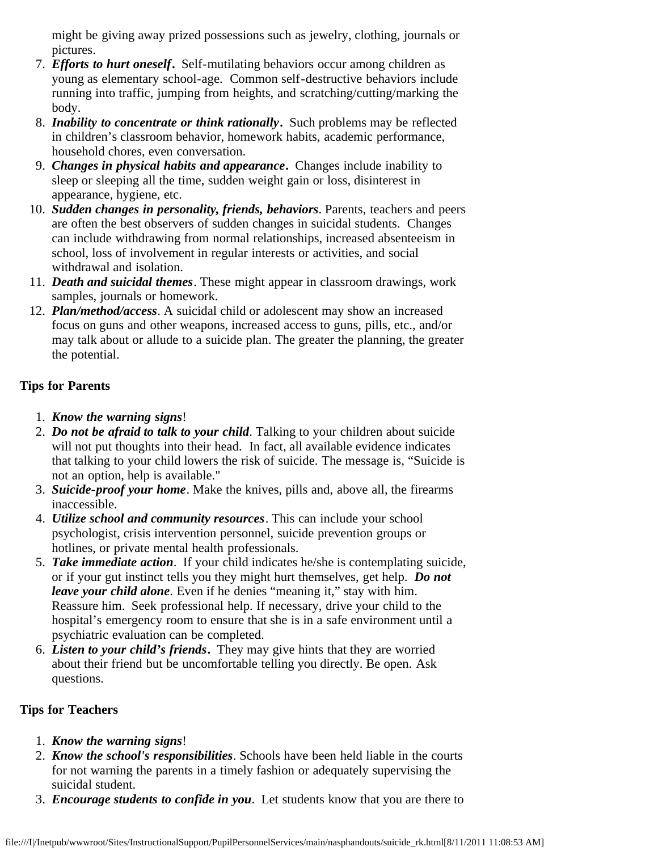might be giving away prized possessions such as jewelry, clothing, journals or pictures.

- 7. *Efforts to hurt oneself***.** Self-mutilating behaviors occur among children as young as elementary school-age. Common self-destructive behaviors include running into traffic, jumping from heights, and scratching/cutting/marking the body.
- 8. *Inability to concentrate or think rationally***.** Such problems may be reflected in children's classroom behavior, homework habits, academic performance, household chores, even conversation.
- 9. *Changes in physical habits and appearance***.** Changes include inability to sleep or sleeping all the time, sudden weight gain or loss, disinterest in appearance, hygiene, etc.
- 10. *Sudden changes in personality, friends, behaviors*. Parents, teachers and peers are often the best observers of sudden changes in suicidal students. Changes can include withdrawing from normal relationships, increased absenteeism in school, loss of involvement in regular interests or activities, and social withdrawal and isolation.
- 11. *Death and suicidal themes*. These might appear in classroom drawings, work samples, journals or homework.
- 12. *Plan/method/access*. A suicidal child or adolescent may show an increased focus on guns and other weapons, increased access to guns, pills, etc., and/or may talk about or allude to a suicide plan. The greater the planning, the greater the potential.

## **Tips for Parents**

- 1. *Know the warning signs*!
- 2. *Do not be afraid to talk to your child*. Talking to your children about suicide will not put thoughts into their head. In fact, all available evidence indicates that talking to your child lowers the risk of suicide. The message is, "Suicide is not an option, help is available."
- 3. *Suicide-proof your home*. Make the knives, pills and, above all, the firearms inaccessible.
- 4. *Utilize school and community resources*. This can include your school psychologist, crisis intervention personnel, suicide prevention groups or hotlines, or private mental health professionals.
- 5. *Take immediate action*. If your child indicates he/she is contemplating suicide, or if your gut instinct tells you they might hurt themselves, get help. *Do not leave your child alone.* Even if he denies "meaning it," stay with him. Reassure him. Seek professional help. If necessary, drive your child to the hospital's emergency room to ensure that she is in a safe environment until a psychiatric evaluation can be completed.
- 6. *Listen to your child's friends***.** They may give hints that they are worried about their friend but be uncomfortable telling you directly. Be open. Ask questions.

### **Tips for Teachers**

- 1. *Know the warning signs*!
- 2. *Know the school's responsibilities*. Schools have been held liable in the courts for not warning the parents in a timely fashion or adequately supervising the suicidal student.
- 3. *Encourage students to confide in you*. Let students know that you are there to